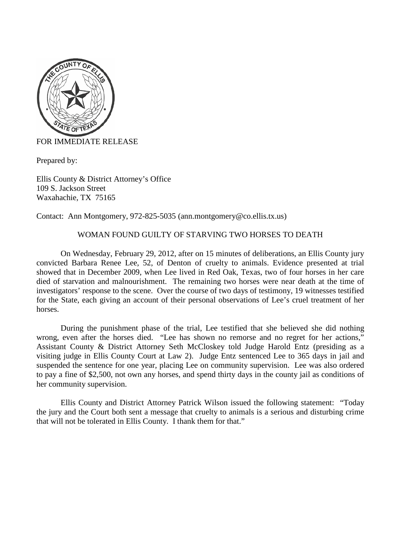

## FOR IMMEDIATE RELEASE

Prepared by:

Ellis County & District Attorney's Office 109 S. Jackson Street Waxahachie, TX 75165

Contact: Ann Montgomery, 972-825-5035 (ann.montgomery@co.ellis.tx.us)

## WOMAN FOUND GUILTY OF STARVING TWO HORSES TO DEATH

On Wednesday, February 29, 2012, after on 15 minutes of deliberations, an Ellis County jury convicted Barbara Renee Lee, 52, of Denton of cruelty to animals. Evidence presented at trial showed that in December 2009, when Lee lived in Red Oak, Texas, two of four horses in her care died of starvation and malnourishment. The remaining two horses were near death at the time of investigators' response to the scene. Over the course of two days of testimony, 19 witnesses testified for the State, each giving an account of their personal observations of Lee's cruel treatment of her horses.

During the punishment phase of the trial, Lee testified that she believed she did nothing wrong, even after the horses died. "Lee has shown no remorse and no regret for her actions," Assistant County & District Attorney Seth McCloskey told Judge Harold Entz (presiding as a visiting judge in Ellis County Court at Law 2). Judge Entz sentenced Lee to 365 days in jail and suspended the sentence for one year, placing Lee on community supervision. Lee was also ordered to pay a fine of \$2,500, not own any horses, and spend thirty days in the county jail as conditions of her community supervision.

Ellis County and District Attorney Patrick Wilson issued the following statement: "Today the jury and the Court both sent a message that cruelty to animals is a serious and disturbing crime that will not be tolerated in Ellis County. I thank them for that."